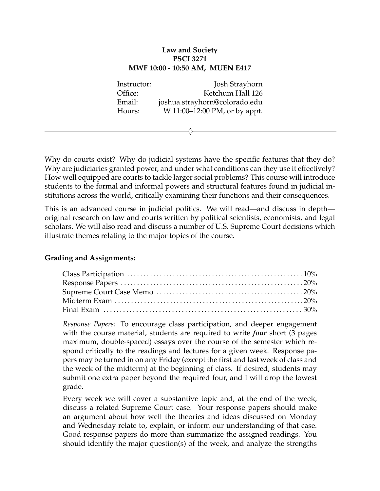## **Law and Society PSCI 3271 MWF 10:00 - 10:50 AM, MUEN E417**

Instructor: Josh Strayhorn Office: Ketchum Hall 126 Email: joshua.strayhorn@colorado.edu Hours: W 11:00–12:00 PM, or by appt.

 $\diamondsuit$ 

Why do courts exist? Why do judicial systems have the specific features that they do? Why are judiciaries granted power, and under what conditions can they use it effectively? How well equipped are courts to tackle larger social problems? This course will introduce students to the formal and informal powers and structural features found in judicial institutions across the world, critically examining their functions and their consequences.

This is an advanced course in judicial politics. We will read—and discuss in depth original research on law and courts written by political scientists, economists, and legal scholars. We will also read and discuss a number of U.S. Supreme Court decisions which illustrate themes relating to the major topics of the course.

## **Grading and Assignments:**

*Response Papers:* To encourage class participation, and deeper engagement with the course material, students are required to write *four* short (3 pages maximum, double-spaced) essays over the course of the semester which respond critically to the readings and lectures for a given week. Response papers may be turned in on any Friday (except the first and last week of class and the week of the midterm) at the beginning of class. If desired, students may submit one extra paper beyond the required four, and I will drop the lowest grade.

Every week we will cover a substantive topic and, at the end of the week, discuss a related Supreme Court case. Your response papers should make an argument about how well the theories and ideas discussed on Monday and Wednesday relate to, explain, or inform our understanding of that case. Good response papers do more than summarize the assigned readings. You should identify the major question(s) of the week, and analyze the strengths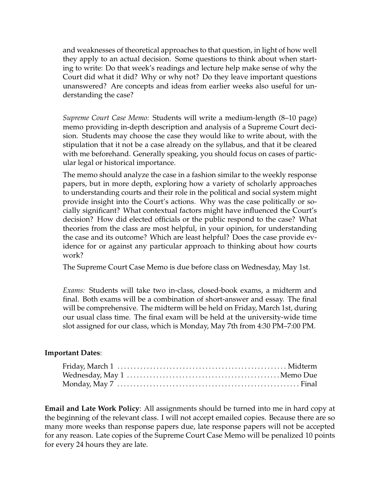and weaknesses of theoretical approaches to that question, in light of how well they apply to an actual decision. Some questions to think about when starting to write: Do that week's readings and lecture help make sense of why the Court did what it did? Why or why not? Do they leave important questions unanswered? Are concepts and ideas from earlier weeks also useful for understanding the case?

*Supreme Court Case Memo:* Students will write a medium-length (8–10 page) memo providing in-depth description and analysis of a Supreme Court decision. Students may choose the case they would like to write about, with the stipulation that it not be a case already on the syllabus, and that it be cleared with me beforehand. Generally speaking, you should focus on cases of particular legal or historical importance.

The memo should analyze the case in a fashion similar to the weekly response papers, but in more depth, exploring how a variety of scholarly approaches to understanding courts and their role in the political and social system might provide insight into the Court's actions. Why was the case politically or socially significant? What contextual factors might have influenced the Court's decision? How did elected officials or the public respond to the case? What theories from the class are most helpful, in your opinion, for understanding the case and its outcome? Which are least helpful? Does the case provide evidence for or against any particular approach to thinking about how courts work?

The Supreme Court Case Memo is due before class on Wednesday, May 1st.

*Exams:* Students will take two in-class, closed-book exams, a midterm and final. Both exams will be a combination of short-answer and essay. The final will be comprehensive. The midterm will be held on Friday, March 1st, during our usual class time. The final exam will be held at the university-wide time slot assigned for our class, which is Monday, May 7th from 4:30 PM–7:00 PM.

## **Important Dates**:

**Email and Late Work Policy**: All assignments should be turned into me in hard copy at the beginning of the relevant class. I will not accept emailed copies. Because there are so many more weeks than response papers due, late response papers will not be accepted for any reason. Late copies of the Supreme Court Case Memo will be penalized 10 points for every 24 hours they are late.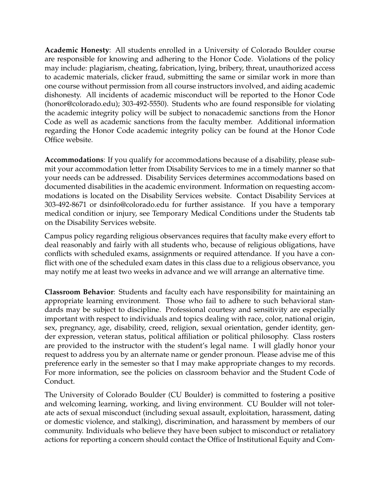**Academic Honesty**: All students enrolled in a University of Colorado Boulder course are responsible for knowing and adhering to the Honor Code. Violations of the policy may include: plagiarism, cheating, fabrication, lying, bribery, threat, unauthorized access to academic materials, clicker fraud, submitting the same or similar work in more than one course without permission from all course instructors involved, and aiding academic dishonesty. All incidents of academic misconduct will be reported to the Honor Code (honor@colorado.edu); 303-492-5550). Students who are found responsible for violating the academic integrity policy will be subject to nonacademic sanctions from the Honor Code as well as academic sanctions from the faculty member. Additional information regarding the Honor Code academic integrity policy can be found at the Honor Code Office website.

**Accommodations**: If you qualify for accommodations because of a disability, please submit your accommodation letter from Disability Services to me in a timely manner so that your needs can be addressed. Disability Services determines accommodations based on documented disabilities in the academic environment. Information on requesting accommodations is located on the Disability Services website. Contact Disability Services at 303-492-8671 or dsinfo@colorado.edu for further assistance. If you have a temporary medical condition or injury, see Temporary Medical Conditions under the Students tab on the Disability Services website.

Campus policy regarding religious observances requires that faculty make every effort to deal reasonably and fairly with all students who, because of religious obligations, have conflicts with scheduled exams, assignments or required attendance. If you have a conflict with one of the scheduled exam dates in this class due to a religious observance, you may notify me at least two weeks in advance and we will arrange an alternative time.

**Classroom Behavior**: Students and faculty each have responsibility for maintaining an appropriate learning environment. Those who fail to adhere to such behavioral standards may be subject to discipline. Professional courtesy and sensitivity are especially important with respect to individuals and topics dealing with race, color, national origin, sex, pregnancy, age, disability, creed, religion, sexual orientation, gender identity, gender expression, veteran status, political affiliation or political philosophy. Class rosters are provided to the instructor with the student's legal name. I will gladly honor your request to address you by an alternate name or gender pronoun. Please advise me of this preference early in the semester so that I may make appropriate changes to my records. For more information, see the policies on classroom behavior and the Student Code of Conduct.

The University of Colorado Boulder (CU Boulder) is committed to fostering a positive and welcoming learning, working, and living environment. CU Boulder will not tolerate acts of sexual misconduct (including sexual assault, exploitation, harassment, dating or domestic violence, and stalking), discrimination, and harassment by members of our community. Individuals who believe they have been subject to misconduct or retaliatory actions for reporting a concern should contact the Office of Institutional Equity and Com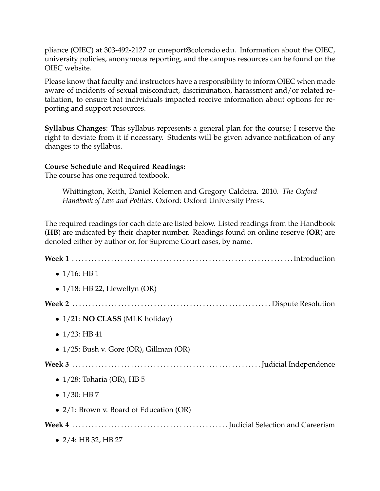pliance (OIEC) at 303-492-2127 or cureport@colorado.edu. Information about the OIEC, university policies, anonymous reporting, and the campus resources can be found on the OIEC website.

Please know that faculty and instructors have a responsibility to inform OIEC when made aware of incidents of sexual misconduct, discrimination, harassment and/or related retaliation, to ensure that individuals impacted receive information about options for reporting and support resources.

**Syllabus Changes**: This syllabus represents a general plan for the course; I reserve the right to deviate from it if necessary. Students will be given advance notification of any changes to the syllabus.

## **Course Schedule and Required Readings:**

The course has one required textbook.

Whittington, Keith, Daniel Kelemen and Gregory Caldeira. 2010. *The Oxford Handbook of Law and Politics*. Oxford: Oxford University Press.

The required readings for each date are listed below. Listed readings from the Handbook (**HB**) are indicated by their chapter number. Readings found on online reserve (**OR**) are denoted either by author or, for Supreme Court cases, by name.

| • $1/16$ : HB 1                               |
|-----------------------------------------------|
| • $1/18$ : HB 22, Llewellyn (OR)              |
|                                               |
| $\bullet$ 1/21: <b>NO CLASS</b> (MLK holiday) |
| • $1/23$ : HB 41                              |
| • $1/25$ : Bush v. Gore (OR), Gillman (OR)    |
|                                               |
| $\bullet$ 1/28: Toharia (OR), HB 5            |
| • $1/30$ : HB 7                               |
| • $2/1$ : Brown v. Board of Education (OR)    |
|                                               |
| • $2/4$ : HB 32, HB 27                        |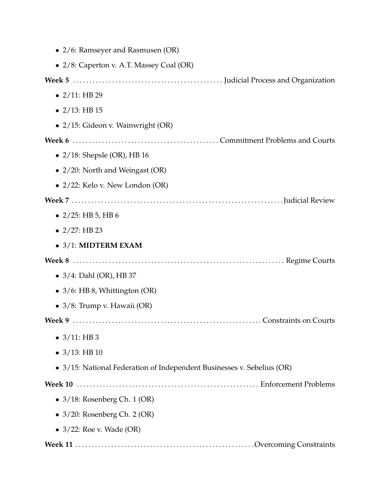| • 2/6: Ramseyer and Rasmusen (OR)                                      |
|------------------------------------------------------------------------|
| • 2/8: Caperton v. A.T. Massey Coal (OR)                               |
|                                                                        |
| • $2/11$ : HB 29                                                       |
| • $2/13$ : HB 15                                                       |
| • 2/15: Gideon v. Wainwright (OR)                                      |
|                                                                        |
| $\bullet$ 2/18: Shepsle (OR), HB 16                                    |
| • $2/20$ : North and Weingast (OR)                                     |
| $\bullet$ 2/22: Kelo v. New London (OR)                                |
|                                                                        |
| $\bullet$ 2/25: HB 5, HB 6                                             |
| • $2/27$ : HB 23                                                       |
| $\bullet$ 3/1: MIDTERM EXAM                                            |
|                                                                        |
| • $3/4$ : Dahl (OR), HB 37                                             |
| • 3/6: HB 8, Whittington (OR)                                          |
| • $3/8$ : Trump v. Hawaii (OR)                                         |
|                                                                        |
| $\bullet$ 3/11: HB 3                                                   |
| • $3/13$ : HB 10                                                       |
| • 3/15: National Federation of Independent Businesses v. Sebelius (OR) |
|                                                                        |
| $\bullet$ 3/18: Rosenberg Ch. 1 (OR)                                   |
| $\bullet$ 3/20: Rosenberg Ch. 2 (OR)                                   |
| $\bullet$ 3/22: Roe v. Wade (OR)                                       |
|                                                                        |